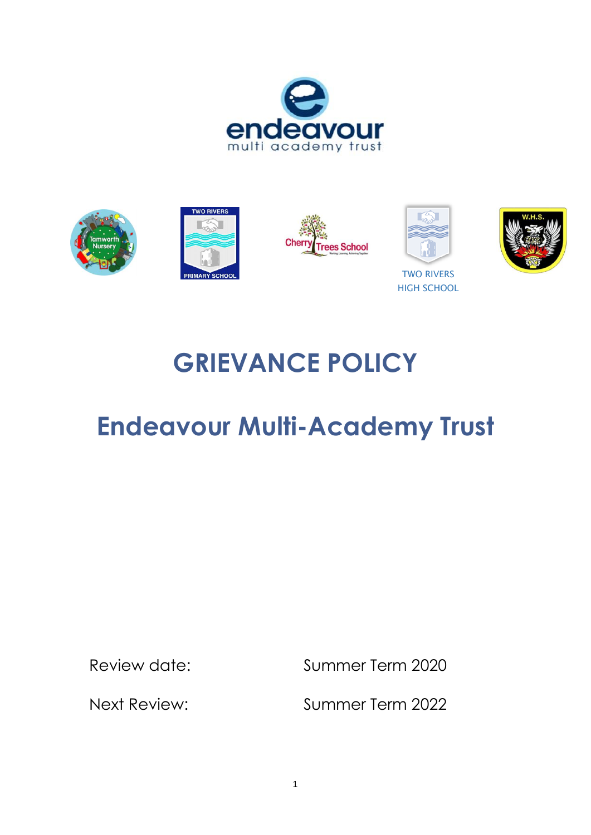





**GRIEVANCE POLICY**

# **Endeavour Multi-Academy Trust**

Review date: Summer Term 2020

Next Review: Summer Term 2022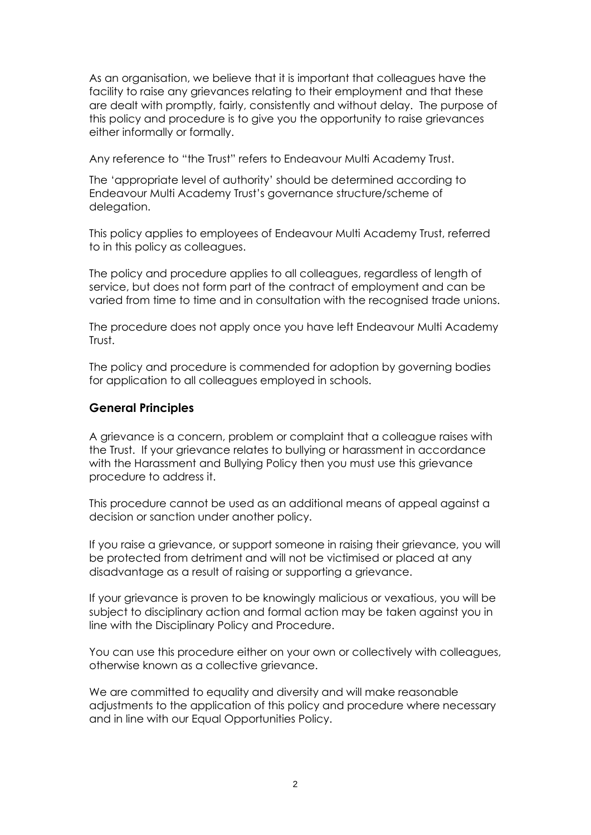As an organisation, we believe that it is important that colleagues have the facility to raise any grievances relating to their employment and that these are dealt with promptly, fairly, consistently and without delay. The purpose of this policy and procedure is to give you the opportunity to raise grievances either informally or formally.

Any reference to "the Trust" refers to Endeavour Multi Academy Trust.

The 'appropriate level of authority' should be determined according to Endeavour Multi Academy Trust's governance structure/scheme of delegation.

This policy applies to employees of Endeavour Multi Academy Trust, referred to in this policy as colleagues.

The policy and procedure applies to all colleagues, regardless of length of service, but does not form part of the contract of employment and can be varied from time to time and in consultation with the recognised trade unions.

The procedure does not apply once you have left Endeavour Multi Academy Trust.

The policy and procedure is commended for adoption by governing bodies for application to all colleagues employed in schools.

#### **General Principles**

A grievance is a concern, problem or complaint that a colleague raises with the Trust. If your grievance relates to bullying or harassment in accordance with the Harassment and Bullying Policy then you must use this grievance procedure to address it.

This procedure cannot be used as an additional means of appeal against a decision or sanction under another policy.

If you raise a grievance, or support someone in raising their grievance, you will be protected from detriment and will not be victimised or placed at any disadvantage as a result of raising or supporting a grievance.

If your grievance is proven to be knowingly malicious or vexatious, you will be subject to disciplinary action and formal action may be taken against you in line with the Disciplinary Policy and Procedure.

You can use this procedure either on your own or collectively with colleagues, otherwise known as a collective grievance.

We are committed to equality and diversity and will make reasonable adjustments to the application of this policy and procedure where necessary and in line with our Equal Opportunities Policy.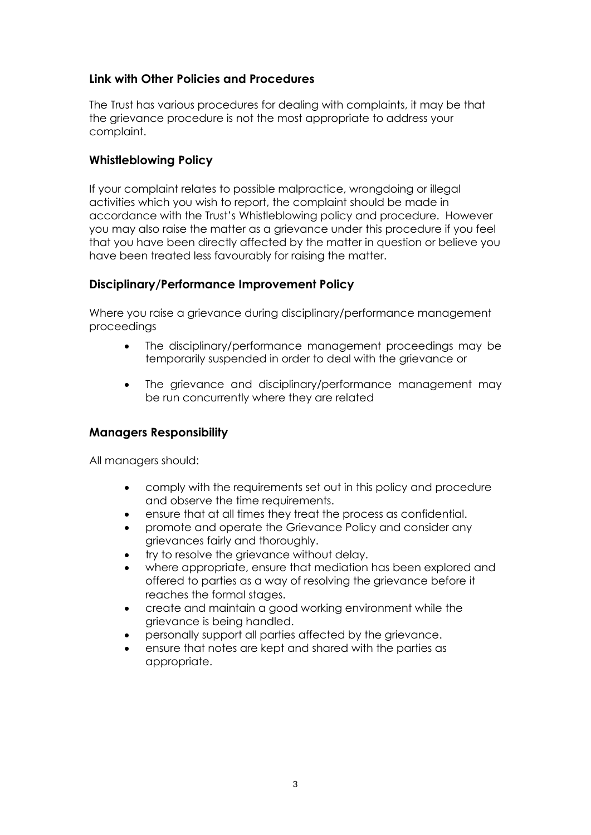## **Link with Other Policies and Procedures**

The Trust has various procedures for dealing with complaints, it may be that the grievance procedure is not the most appropriate to address your complaint.

### **Whistleblowing Policy**

If your complaint relates to possible malpractice, wrongdoing or illegal activities which you wish to report, the complaint should be made in accordance with the Trust's Whistleblowing policy and procedure. However you may also raise the matter as a grievance under this procedure if you feel that you have been directly affected by the matter in question or believe you have been treated less favourably for raising the matter.

#### **Disciplinary/Performance Improvement Policy**

Where you raise a grievance during disciplinary/performance management proceedings

- The disciplinary/performance management proceedings may be temporarily suspended in order to deal with the grievance or
- The grievance and disciplinary/performance management may be run concurrently where they are related

## **Managers Responsibility**

All managers should:

- comply with the requirements set out in this policy and procedure and observe the time requirements.
- ensure that at all times they treat the process as confidential.
- promote and operate the Grievance Policy and consider any grievances fairly and thoroughly.
- try to resolve the grievance without delay.
- where appropriate, ensure that mediation has been explored and offered to parties as a way of resolving the grievance before it reaches the formal stages.
- create and maintain a good working environment while the grievance is being handled.
- personally support all parties affected by the grievance.
- ensure that notes are kept and shared with the parties as appropriate.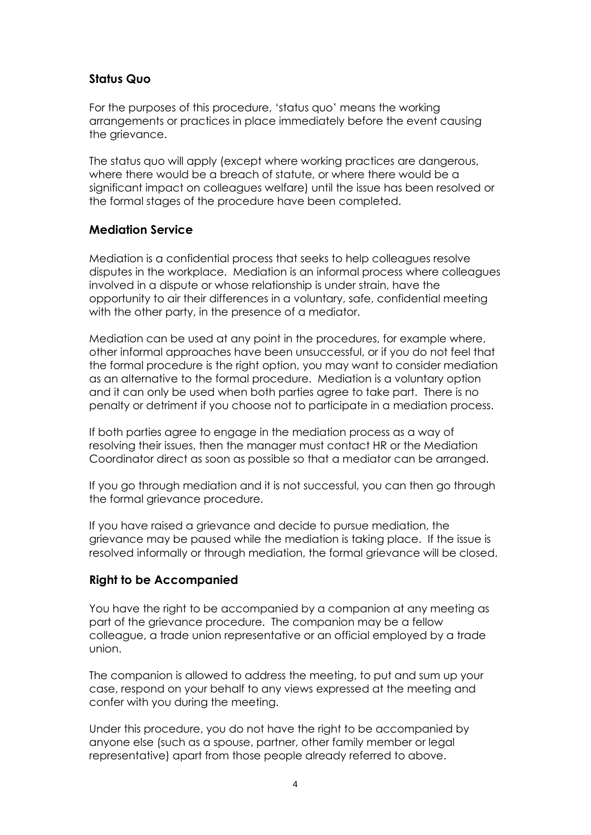### **Status Quo**

For the purposes of this procedure, 'status quo' means the working arrangements or practices in place immediately before the event causing the grievance.

The status quo will apply (except where working practices are dangerous, where there would be a breach of statute, or where there would be a significant impact on colleagues welfare) until the issue has been resolved or the formal stages of the procedure have been completed.

#### **Mediation Service**

Mediation is a confidential process that seeks to help colleagues resolve disputes in the workplace. Mediation is an informal process where colleagues involved in a dispute or whose relationship is under strain, have the opportunity to air their differences in a voluntary, safe, confidential meeting with the other party, in the presence of a mediator.

Mediation can be used at any point in the procedures, for example where, other informal approaches have been unsuccessful, or if you do not feel that the formal procedure is the right option, you may want to consider mediation as an alternative to the formal procedure. Mediation is a voluntary option and it can only be used when both parties agree to take part. There is no penalty or detriment if you choose not to participate in a mediation process.

If both parties agree to engage in the mediation process as a way of resolving their issues, then the manager must contact HR or the Mediation Coordinator direct as soon as possible so that a mediator can be arranged.

If you go through mediation and it is not successful, you can then go through the formal grievance procedure.

If you have raised a grievance and decide to pursue mediation, the grievance may be paused while the mediation is taking place. If the issue is resolved informally or through mediation, the formal grievance will be closed.

## **Right to be Accompanied**

You have the right to be accompanied by a companion at any meeting as part of the grievance procedure. The companion may be a fellow colleague, a trade union representative or an official employed by a trade union.

The companion is allowed to address the meeting, to put and sum up your case, respond on your behalf to any views expressed at the meeting and confer with you during the meeting.

Under this procedure, you do not have the right to be accompanied by anyone else (such as a spouse, partner, other family member or legal representative) apart from those people already referred to above.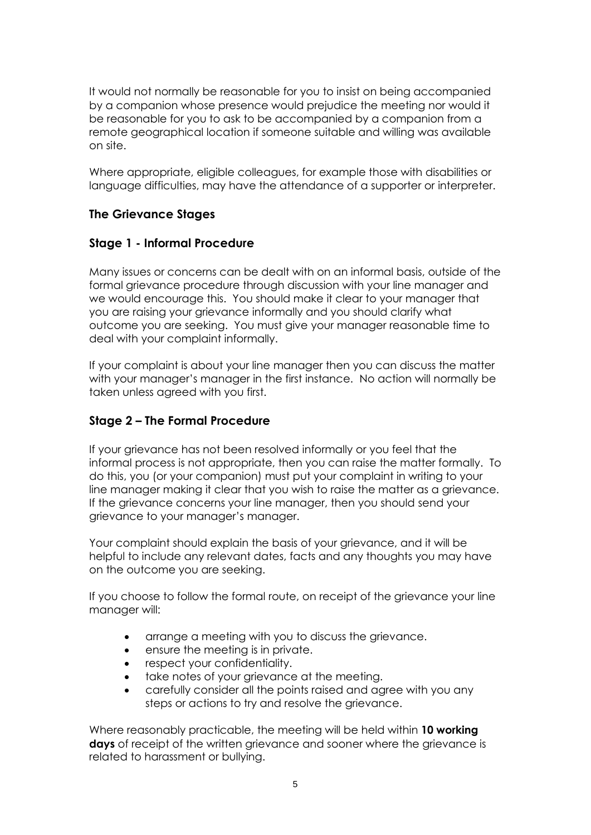It would not normally be reasonable for you to insist on being accompanied by a companion whose presence would prejudice the meeting nor would it be reasonable for you to ask to be accompanied by a companion from a remote geographical location if someone suitable and willing was available on site.

Where appropriate, eligible colleagues, for example those with disabilities or language difficulties, may have the attendance of a supporter or interpreter.

### **The Grievance Stages**

#### **Stage 1 - Informal Procedure**

Many issues or concerns can be dealt with on an informal basis, outside of the formal grievance procedure through discussion with your line manager and we would encourage this. You should make it clear to your manager that you are raising your grievance informally and you should clarify what outcome you are seeking. You must give your manager reasonable time to deal with your complaint informally.

If your complaint is about your line manager then you can discuss the matter with your manager's manager in the first instance. No action will normally be taken unless agreed with you first.

## **Stage 2 – The Formal Procedure**

If your grievance has not been resolved informally or you feel that the informal process is not appropriate, then you can raise the matter formally. To do this, you (or your companion) must put your complaint in writing to your line manager making it clear that you wish to raise the matter as a grievance. If the grievance concerns your line manager, then you should send your grievance to your manager's manager.

Your complaint should explain the basis of your grievance, and it will be helpful to include any relevant dates, facts and any thoughts you may have on the outcome you are seeking.

If you choose to follow the formal route, on receipt of the grievance your line manager will:

- arrange a meeting with you to discuss the grievance.
- ensure the meeting is in private.
- respect your confidentiality.
- take notes of your grievance at the meeting.
- carefully consider all the points raised and agree with you any steps or actions to try and resolve the grievance.

Where reasonably practicable, the meeting will be held within **10 working days** of receipt of the written grievance and sooner where the grievance is related to harassment or bullying.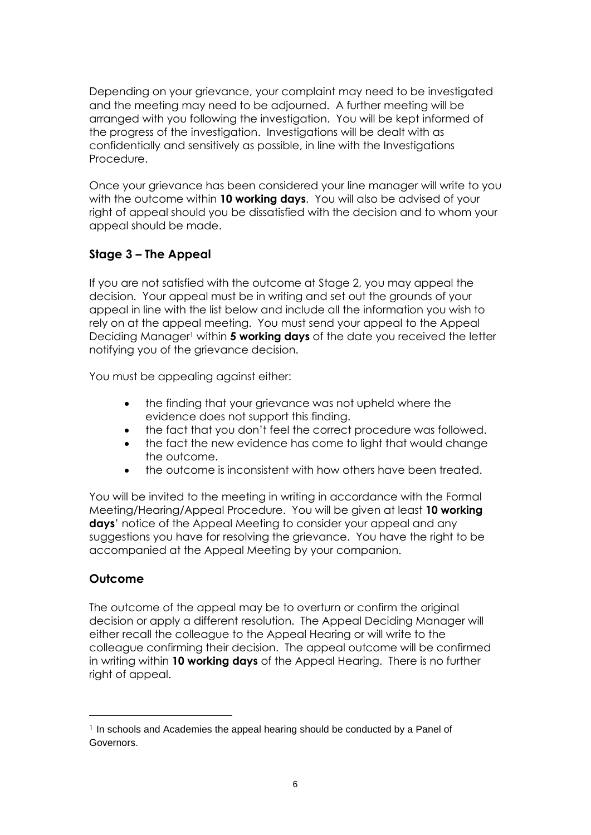Depending on your grievance, your complaint may need to be investigated and the meeting may need to be adjourned. A further meeting will be arranged with you following the investigation. You will be kept informed of the progress of the investigation. Investigations will be dealt with as confidentially and sensitively as possible, in line with the Investigations Procedure.

Once your grievance has been considered your line manager will write to you with the outcome within **10 working days**. You will also be advised of your right of appeal should you be dissatisfied with the decision and to whom your appeal should be made.

## **Stage 3 – The Appeal**

If you are not satisfied with the outcome at Stage 2, you may appeal the decision. Your appeal must be in writing and set out the grounds of your appeal in line with the list below and include all the information you wish to rely on at the appeal meeting. You must send your appeal to the Appeal Deciding Manager<sup>1</sup> within **5 working days** of the date you received the letter notifying you of the grievance decision.

You must be appealing against either:

- the finding that your grievance was not upheld where the evidence does not support this finding.
- the fact that you don't feel the correct procedure was followed.
- the fact the new evidence has come to light that would change the outcome.
- the outcome is inconsistent with how others have been treated.

You will be invited to the meeting in writing in accordance with the Formal Meeting/Hearing/Appeal Procedure. You will be given at least **10 working days**' notice of the Appeal Meeting to consider your appeal and any suggestions you have for resolving the grievance. You have the right to be accompanied at the Appeal Meeting by your companion.

## **Outcome**

The outcome of the appeal may be to overturn or confirm the original decision or apply a different resolution. The Appeal Deciding Manager will either recall the colleague to the Appeal Hearing or will write to the colleague confirming their decision. The appeal outcome will be confirmed in writing within **10 working days** of the Appeal Hearing. There is no further right of appeal.

<sup>1</sup> In schools and Academies the appeal hearing should be conducted by a Panel of Governors.